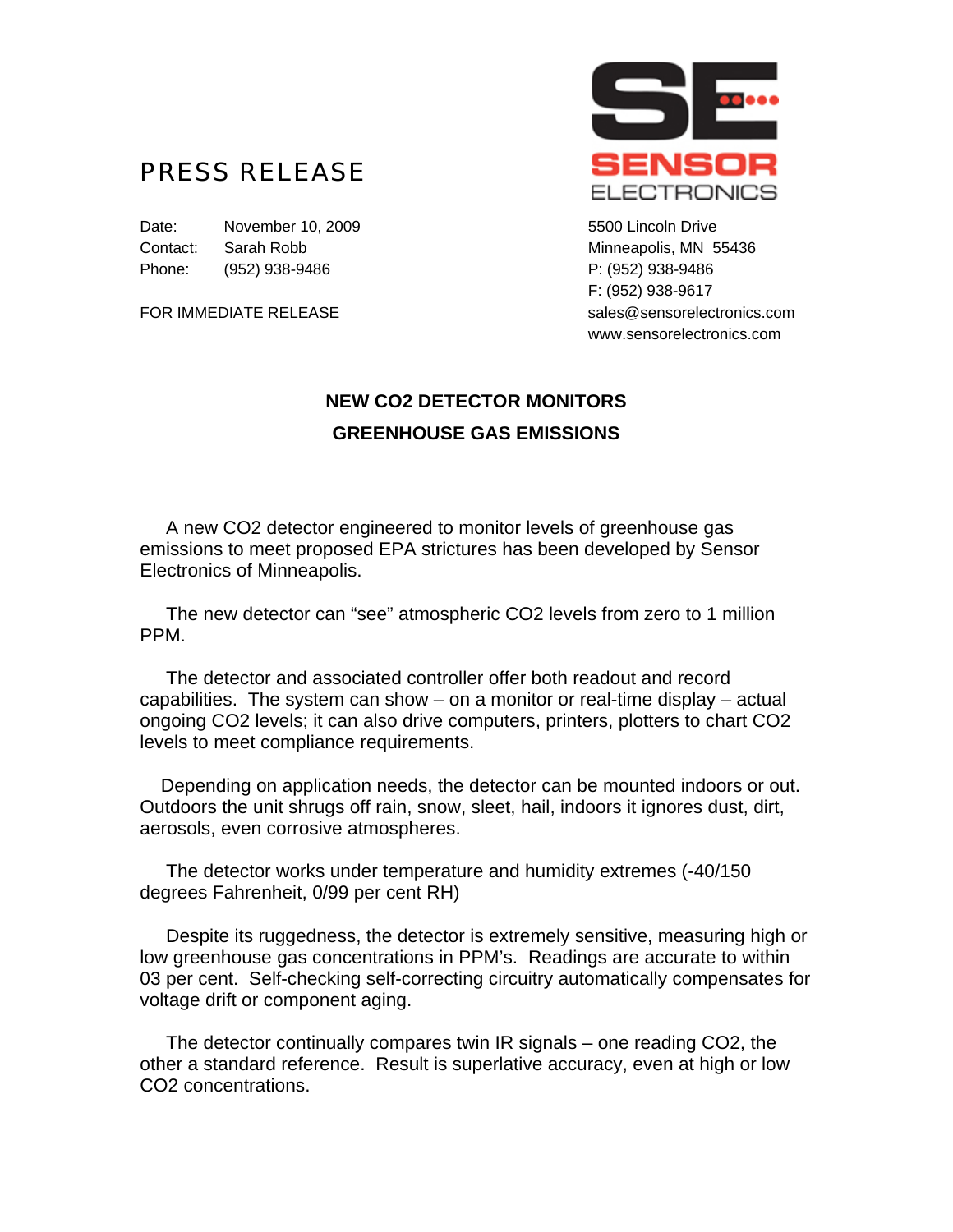## PRESS RELEASE

Date: November 10, 2009 **1998** S500 Lincoln Drive Contact: Sarah Robb Minneapolis, MN 55436 Phone: (952) 938-9486 P: (952) 938-9486



F: (952) 938-9617 FOR IMMEDIATE RELEASE sales@sensorelectronics.com www.sensorelectronics.com

## **NEW CO2 DETECTOR MONITORS GREENHOUSE GAS EMISSIONS**

 A new CO2 detector engineered to monitor levels of greenhouse gas emissions to meet proposed EPA strictures has been developed by Sensor Electronics of Minneapolis.

 The new detector can "see" atmospheric CO2 levels from zero to 1 million PPM.

 The detector and associated controller offer both readout and record capabilities. The system can show – on a monitor or real-time display – actual ongoing CO2 levels; it can also drive computers, printers, plotters to chart CO2 levels to meet compliance requirements.

 Depending on application needs, the detector can be mounted indoors or out. Outdoors the unit shrugs off rain, snow, sleet, hail, indoors it ignores dust, dirt, aerosols, even corrosive atmospheres.

 The detector works under temperature and humidity extremes (-40/150 degrees Fahrenheit, 0/99 per cent RH)

 Despite its ruggedness, the detector is extremely sensitive, measuring high or low greenhouse gas concentrations in PPM's. Readings are accurate to within 03 per cent. Self-checking self-correcting circuitry automatically compensates for voltage drift or component aging.

 The detector continually compares twin IR signals – one reading CO2, the other a standard reference. Result is superlative accuracy, even at high or low CO2 concentrations.